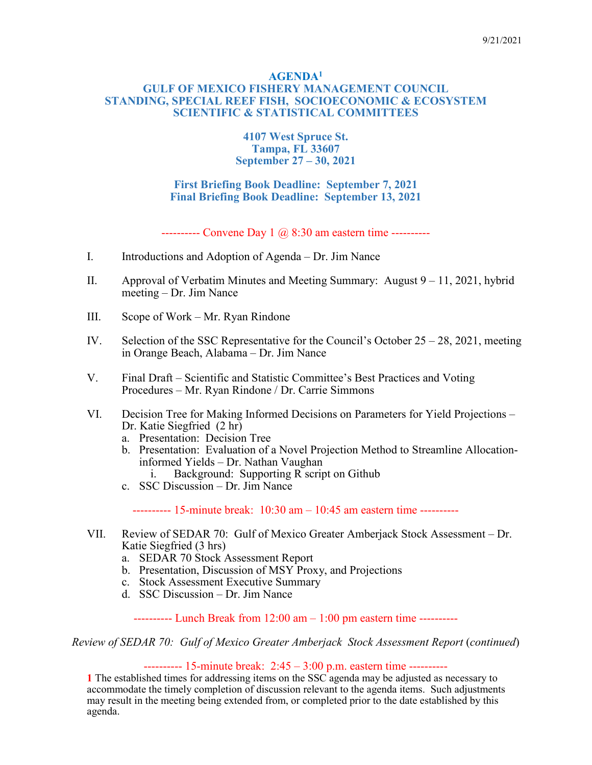#### **AGENDA1 GULF OF MEXICO FISHERY MANAGEMENT COUNCIL STANDING, SPECIAL REEF FISH, SOCIOECONOMIC & ECOSYSTEM SCIENTIFIC & STATISTICAL COMMITTEES**

#### **4107 West Spruce St. Tampa, FL 33607 September 27 – 30, 2021**

### **First Briefing Book Deadline: September 7, 2021 Final Briefing Book Deadline: September 13, 2021**

---------- Convene Day 1  $\omega$  8:30 am eastern time ----------

- I. Introductions and Adoption of Agenda Dr. Jim Nance
- II. Approval of Verbatim Minutes and Meeting Summary: August 9 11, 2021, hybrid meeting – Dr. Jim Nance
- III. Scope of Work Mr. Ryan Rindone
- IV. Selection of the SSC Representative for the Council's October  $25 28$ , 2021, meeting in Orange Beach, Alabama – Dr. Jim Nance
- V. Final Draft Scientific and Statistic Committee's Best Practices and Voting Procedures – Mr. Ryan Rindone / Dr. Carrie Simmons
- VI. Decision Tree for Making Informed Decisions on Parameters for Yield Projections Dr. Katie Siegfried (2 hr)
	- a. Presentation: Decision Tree
	- b. Presentation: Evaluation of a Novel Projection Method to Streamline Allocationinformed Yields – Dr. Nathan Vaughan
		- i. Background: Supporting R script on Github
	- c. SSC Discussion Dr. Jim Nance

---------- 15-minute break: 10:30 am – 10:45 am eastern time ----------

- VII. Review of SEDAR 70: Gulf of Mexico Greater Amberjack Stock Assessment Dr. Katie Siegfried (3 hrs)
	- a. SEDAR 70 Stock Assessment Report
	- b. Presentation, Discussion of MSY Proxy, and Projections
	- c. Stock Assessment Executive Summary
	- d. SSC Discussion Dr. Jim Nance

---------- Lunch Break from 12:00 am – 1:00 pm eastern time ----------

*Review of SEDAR 70: Gulf of Mexico Greater Amberjack Stock Assessment Report* (*continued*)

 $--------$  15-minute break: 2:45 – 3:00 p.m. eastern time  $----$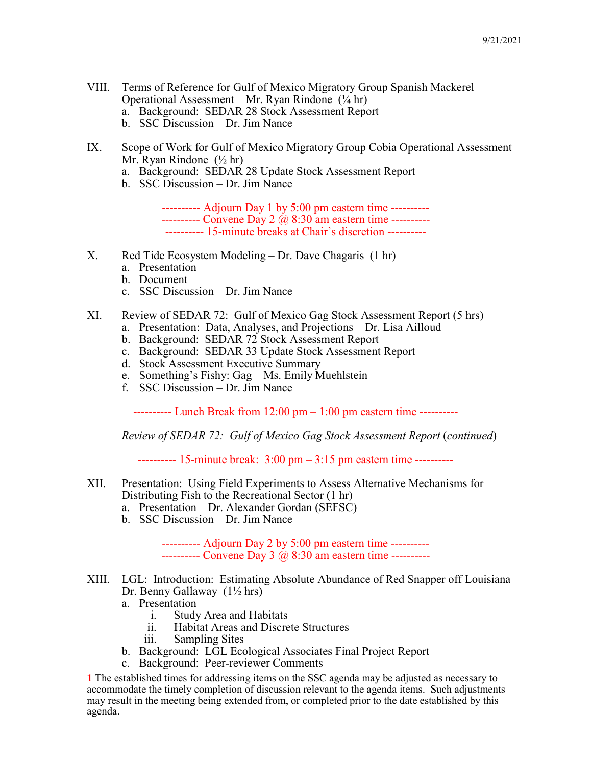- VIII. Terms of Reference for Gulf of Mexico Migratory Group Spanish Mackerel Operational Assessment – Mr. Ryan Rindone  $(\frac{1}{4}$  hr)
	- a. Background: SEDAR 28 Stock Assessment Report
	- b. SSC Discussion Dr. Jim Nance
- IX. Scope of Work for Gulf of Mexico Migratory Group Cobia Operational Assessment Mr. Ryan Rindone (½ hr)
	- a. Background: SEDAR 28 Update Stock Assessment Report
	- b. SSC Discussion Dr. Jim Nance

---------- Adjourn Day 1 by 5:00 pm eastern time ---------- --------- Convene Day 2  $\ddot{\omega}$  8:30 am eastern time -------------------- 15-minute breaks at Chair's discretion ----------

- X. Red Tide Ecosystem Modeling Dr. Dave Chagaris (1 hr)
	- a. Presentation
	- b. Document
	- c. SSC Discussion Dr. Jim Nance
- XI. Review of SEDAR 72: Gulf of Mexico Gag Stock Assessment Report (5 hrs)
	- a. Presentation: Data, Analyses, and Projections Dr. Lisa Ailloud
		- b. Background: SEDAR 72 Stock Assessment Report
		- c. Background: SEDAR 33 Update Stock Assessment Report
		- d. Stock Assessment Executive Summary
		- e. Something's Fishy: Gag Ms. Emily Muehlstein
		- f. SSC Discussion Dr. Jim Nance

---------- Lunch Break from 12:00 pm – 1:00 pm eastern time ----------

*Review of SEDAR 72: Gulf of Mexico Gag Stock Assessment Report* (*continued*)

---------- 15-minute break: 3:00 pm – 3:15 pm eastern time ----------

- XII. Presentation: Using Field Experiments to Assess Alternative Mechanisms for Distributing Fish to the Recreational Sector (1 hr)
	- a. Presentation Dr. Alexander Gordan (SEFSC)
	- b. SSC Discussion Dr. Jim Nance

---------- Adjourn Day 2 by 5:00 pm eastern time ---------- ---------- Convene Day 3 @ 8:30 am eastern time ----------

- XIII. LGL: Introduction: Estimating Absolute Abundance of Red Snapper off Louisiana Dr. Benny Gallaway (1½ hrs)
	- a. Presentation
		- i. Study Area and Habitats<br>ii. Habitat Areas and Discre
		- Habitat Areas and Discrete Structures
		- iii. Sampling Sites
	- b. Background: LGL Ecological Associates Final Project Report
	- c. Background: Peer-reviewer Comments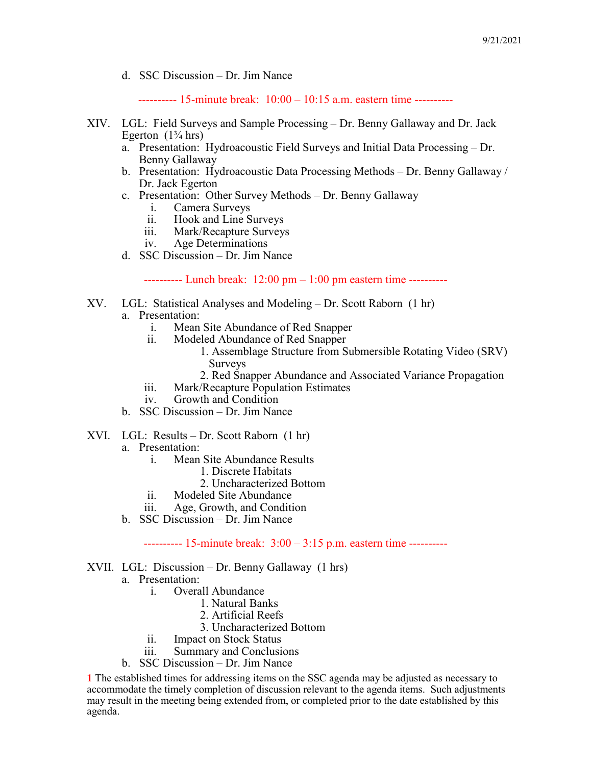d. SSC Discussion – Dr. Jim Nance

---------- 15-minute break: 10:00 – 10:15 a.m. eastern time ----------

- XIV. LGL: Field Surveys and Sample Processing Dr. Benny Gallaway and Dr. Jack Egerton  $(1\frac{3}{4}$  hrs)
	- a. Presentation: Hydroacoustic Field Surveys and Initial Data Processing Dr. Benny Gallaway
	- b. Presentation: Hydroacoustic Data Processing Methods Dr. Benny Gallaway / Dr. Jack Egerton
	- c. Presentation: Other Survey Methods Dr. Benny Gallaway
		- i. Camera Surveys<br>ii. Hook and Line S
		- Hook and Line Surveys
		- iii. Mark/Recapture Surveys
		- iv. Age Determinations
	- d. SSC Discussion Dr. Jim Nance

---------- Lunch break: 12:00 pm – 1:00 pm eastern time ----------

- XV. LGL: Statistical Analyses and Modeling Dr. Scott Raborn (1 hr) a. Presentation:
	- - i. Mean Site Abundance of Red Snapper
		- ii. Modeled Abundance of Red Snapper
			- 1. Assemblage Structure from Submersible Rotating Video (SRV) Surveys
			- 2. Red Snapper Abundance and Associated Variance Propagation
		- iii. Mark/Recapture Population Estimates<br>iv. Growth and Condition
		- Growth and Condition
	- b. SSC Discussion Dr. Jim Nance
- XVI. LGL: Results Dr. Scott Raborn (1 hr)
	- a. Presentation:
		- i. Mean Site Abundance Results
			- 1. Discrete Habitats
				- 2. Uncharacterized Bottom
		- ii. Modeled Site Abundance
		- iii. Age, Growth, and Condition
	- b. SSC Discussion Dr. Jim Nance

---------- 15-minute break: 3:00 – 3:15 p.m. eastern time ----------

- XVII. LGL: Discussion Dr. Benny Gallaway (1 hrs)
	- a. Presentation:
		- i. Overall Abundance
			- 1. Natural Banks
			- 2. Artificial Reefs
			- 3. Uncharacterized Bottom
		- ii. Impact on Stock Status
		- iii. Summary and Conclusions
	- b. SSC Discussion Dr. Jim Nance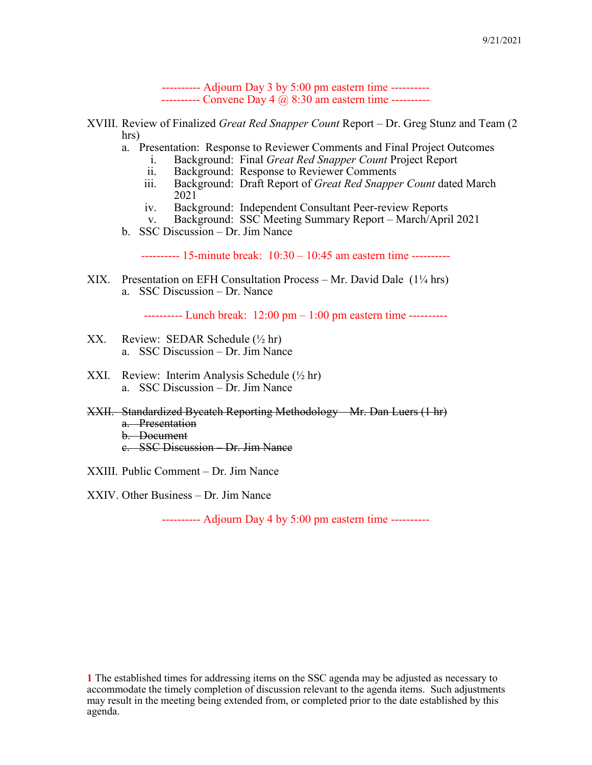---------- Adjourn Day 3 by 5:00 pm eastern time ---------- --------- Convene Day 4  $@$  8:30 am eastern time ----------

- XVIII. Review of Finalized *Great Red Snapper Count* Report Dr. Greg Stunz and Team (2 hrs)
	- a. Presentation: Response to Reviewer Comments and Final Project Outcomes
		- i. Background: Final *Great Red Snapper Count* Project Report
		- ii. Background: Response to Reviewer Comments
		- iii. Background: Draft Report of *Great Red Snapper Count* dated March 2021
		- iv. Background: Independent Consultant Peer-review Reports
		- v. Background: SSC Meeting Summary Report March/April 2021
	- b. SSC Discussion Dr. Jim Nance

---------- 15-minute break: 10:30 – 10:45 am eastern time ----------

XIX. Presentation on EFH Consultation Process – Mr. David Dale (1¼ hrs) a. SSC Discussion – Dr. Nance

---------- Lunch break: 12:00 pm – 1:00 pm eastern time ----------

- XX. Review: SEDAR Schedule  $(\frac{1}{2}$  hr) a. SSC Discussion – Dr. Jim Nance
- XXI. Review: Interim Analysis Schedule (½ hr) a. SSC Discussion – Dr. Jim Nance
- XXII. Standardized Bycatch Reporting Methodology Mr. Dan Luers (1 hr) a. Presentation b. Document c. SSC Discussion – Dr. Jim Nance

XXIII. Public Comment – Dr. Jim Nance

XXIV. Other Business – Dr. Jim Nance

---------- Adjourn Day 4 by 5:00 pm eastern time ----------